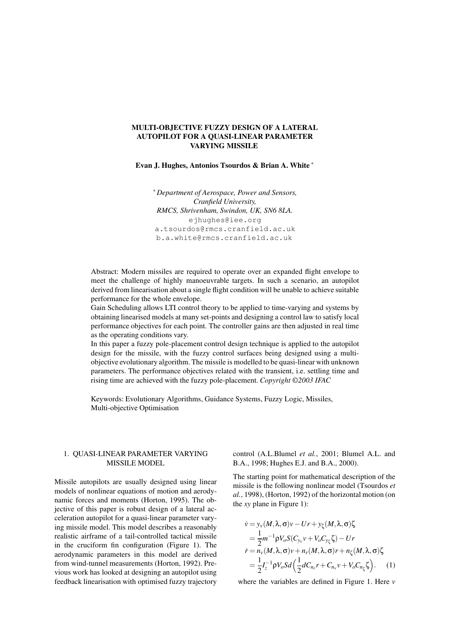## MULTI-OBJECTIVE FUZZY DESIGN OF A LATERAL AUTOPILOT FOR A QUASI-LINEAR PARAMETER VARYING MISSILE

Evan J. Hughes, Antonios Tsourdos & Brian A. White ∗

∗ *Department of Aerospace, Power and Sensors, Cranfield University, RMCS, Shrivenham, Swindon, UK, SN6 8LA.* ejhughes@iee.org a.tsourdos@rmcs.cranfield.ac.uk b.a.white@rmcs.cranfield.ac.uk

Abstract: Modern missiles are required to operate over an expanded flight envelope to meet the challenge of highly manoeuvrable targets. In such a scenario, an autopilot derived from linearisation about a single flight condition will be unable to achieve suitable performance for the whole envelope.

Gain Scheduling allows LTI control theory to be applied to time-varying and systems by obtaining linearised models at many set-points and designing a control law to satisfy local performance objectives for each point. The controller gains are then adjusted in real time as the operating conditions vary.

In this paper a fuzzy pole-placement control design technique is applied to the autopilot design for the missile, with the fuzzy control surfaces being designed using a multiobjective evolutionary algorithm. The missile is modelled to be quasi-linear with unknown parameters. The performance objectives related with the transient, i.e. settling time and rising time are achieved with the fuzzy pole-placement. *Copyright* ©*2003 IFAC*

Keywords: Evolutionary Algorithms, Guidance Systems, Fuzzy Logic, Missiles, Multi-objective Optimisation

## 1. QUASI-LINEAR PARAMETER VARYING MISSILE MODEL

Missile autopilots are usually designed using linear models of nonlinear equations of motion and aerodynamic forces and moments (Horton, 1995). The objective of this paper is robust design of a lateral acceleration autopilot for a quasi-linear parameter varying missile model. This model describes a reasonably realistic airframe of a tail-controlled tactical missile in the cruciform fin configuration (Figure 1). The aerodynamic parameters in this model are derived from wind-tunnel measurements (Horton, 1992). Previous work has looked at designing an autopilot using feedback linearisation with optimised fuzzy trajectory control (A.L.Blumel *et al.*, 2001; Blumel A.L. and B.A., 1998; Hughes E.J. and B.A., 2000).

The starting point for mathematical description of the missile is the following nonlinear model (Tsourdos *et al.*, 1998), (Horton, 1992) of the horizontal motion (on the *xy* plane in Figure 1):

$$
\dot{v} = y_v(M, \lambda, \sigma)v - Ur + y_\zeta(M, \lambda, \sigma)\zeta
$$
  
=  $\frac{1}{2}m^{-1}\rho V_o S(C_{y_v}v + V_o C_{y_\zeta}\zeta) - Ur$   

$$
\dot{r} = n_v(M, \lambda, \sigma)v + n_r(M, \lambda, \sigma)r + n_\zeta(M, \lambda, \sigma)\zeta
$$
  
=  $\frac{1}{2}I_z^{-1}\rho V_o S d\left(\frac{1}{2}dC_{n_r}r + C_{n_v}v + V_o C_{n_\zeta}\zeta\right).$  (1)

where the variables are defined in Figure 1. Here *v*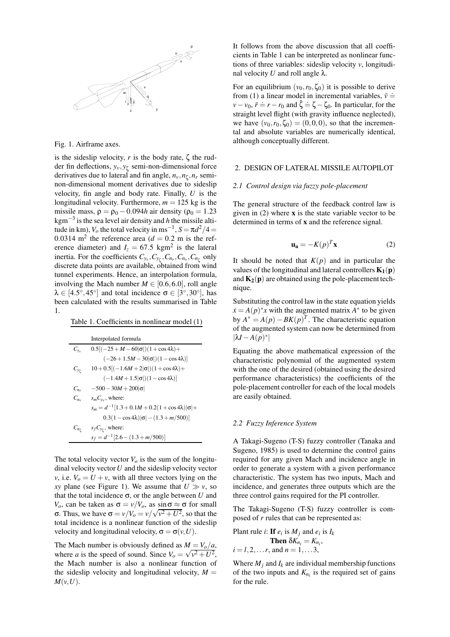

Fig. 1. Airframe axes.

is the sideslip velocity,  $r$  is the body rate,  $\zeta$  the rudder fin deflections, *yv*,*y*<sup>ζ</sup> semi-non-dimensional force derivatives due to lateral and fin angle, *nv*,*n*<sup>ζ</sup> ,*n<sup>r</sup>* seminon-dimensional moment derivatives due to sideslip velocity, fin angle and body rate. Finally, *U* is the longitudinal velocity. Furthermore,  $m = 125$  kg is the missile mass,  $\rho = \rho_0 - 0.094h$  air density ( $\rho_0 = 1.23$ ) kgm−<sup>3</sup> is the sea level air density and *h* the missile altitude in km),  $V_o$  the total velocity in ms<sup>-1</sup>,  $S = \pi d^2/4 =$ 0.0314 m<sup>2</sup> the reference area  $(d = 0.2 \text{ m})$  is the reference diameter) and  $I_z = 67.5 \text{ kgm}^2$  is the lateral inertia. For the coefficients  $C_{y_v}, C_{y_{\zeta}}, C_{n_r}, C_{n_v}, C_{n_{\zeta}}$  only discrete data points are available, obtained from wind tunnel experiments. Hence, an interpolation formula, involving the Mach number  $M \in [0.6, 6.0]$ , roll angle  $\lambda \in [4.5^{\circ}, 45^{\circ}]$  and total incidence  $\sigma \in [3^{\circ}, 30^{\circ}]$ , has been calculated with the results summarised in Table 1.

Table 1. Coefficients in nonlinear model (1)

|                       | Interpolated formula                                          |
|-----------------------|---------------------------------------------------------------|
| $C_{v_v}$             | $0.5[(-25+M-60 \sigma )(1+\cos 4\lambda)+$                    |
|                       | $(-26+1.5M-30 \sigma )(1-\cos 4\lambda)$                      |
| $C_{y_{\mathcal{C}}}$ | $10 + 0.5[(-1.6M + 2 \sigma )(1 + \cos 4\lambda) +$           |
|                       | $(-1.4M+1.5 \sigma )(1-\cos 4\lambda)$                        |
| $C_{n_r}$             | $-500 - 30M + 200 \sigma $                                    |
| $C_{n_v}$             | $s_m C_{v_v}$ , where:                                        |
|                       | $s_m = d^{-1} [1.3 + 0.1M + 0.2(1 + \cos 4\lambda) \sigma] +$ |
|                       | $0.3(1-\cos 4\lambda) \sigma -(1.3+m/500) $                   |
| $C_{n_r}$             | $s_f C_{y_\zeta}$ , where:                                    |
|                       | $s_f = d^{-1}[2.6 - (1.3 + m/500)]$                           |

The total velocity vector  $V<sub>o</sub>$  is the sum of the longitudinal velocity vector*U* and the sideslip velocity vector *v*, i.e.  $V_o = U + v$ , with all three vectors lying on the *xy* plane (see Figure 1). We assume that  $U \gg v$ , so that the total incidence  $\sigma$ , or the angle between *U* and *V*<sup>*o*</sup>, can be taken as  $σ = v/V$ <sup>*o*</sup>, as  $\frac{\sin σ}{2} ≈ σ$  for small σ. Thus, we have  $σ = v/V<sub>o</sub> = v/\sqrt{v^2 + U^2}$ , so that the total incidence is a nonlinear function of the sideslip velocity and longitudinal velocity,  $\sigma = \sigma(v, U)$ .

The Mach number is obviously defined as  $M = V_o/a$ , where *a* is the speed of sound. Since  $V_o = \sqrt{v^2 + U^2}$ , the Mach number is also a nonlinear function of the sideslip velocity and longitudinal velocity,  $M =$  $M(v, U)$ .

It follows from the above discussion that all coefficients in Table 1 can be interpreted as nonlinear functions of three variables: sideslip velocity *v*, longitudinal velocity *U* and roll angle  $λ$ .

For an equilibrium  $(v_0, r_0, \zeta_0)$  it is possible to derive from (1) a linear model in incremental variables,  $\bar{v}$   $\doteq$  $v - v_0$ ,  $\bar{r} = r - r_0$  and  $\bar{\zeta} = \zeta - \zeta_0$ . In particular, for the straight level flight (with gravity influence neglected), we have  $(v_0, r_0, \zeta_0) = (0, 0, 0)$ , so that the incremental and absolute variables are numerically identical, although conceptually different.

### 2. DESIGN OF LATERAL MISSILE AUTOPILOT

#### *2.1 Control design via fuzzy pole-placement*

The general structure of the feedback control law is given in  $(2)$  where **x** is the state variable vector to be determined in terms of x and the reference signal.

$$
\mathbf{u_a} = -K(p)^T \mathbf{x} \tag{2}
$$

It should be noted that  $K(p)$  and in particular the values of the longitudinal and lateral controllers  $K_1(p)$ and  $K_2(p)$  are obtained using the pole-placement technique.

Substituting the control law in the state equation yields  $\dot{x} = A(p)^*x$  with the augmented matrix  $A^*$  to be given by  $A^* = A(p) - BK(p)^T$ . The characteristic equation of the augmented system can now be determined from  $|\lambda I - A(p)^*|$ 

Equating the above mathematical expression of the characteristic polynomial of the augmented system with the one of the desired (obtained using the desired performance characteristics) the coefficients of the pole-placement controller for each of the local models are easily obtained.

### *2.2 Fuzzy Inference System*

A Takagi-Sugeno (T-S) fuzzy controller (Tanaka and Sugeno, 1985) is used to determine the control gains required for any given Mach and incidence angle in order to generate a system with a given performance characteristic. The system has two inputs, Mach and incidence, and generates three outputs which are the three control gains required for the PI controller.

The Takagi-Sugeno (T-S) fuzzy controller is composed of *r* rules that can be represented as:

Plant rule *i*: If 
$$
e_i
$$
 is  $M_j$  and  $e_i$  is  $I_k$   
\nThen  $\delta K_{n_i} = K_{n_i}$ ,  
\n $i = l, 2, ..., r$ , and  $n = 1, ... 3$ ,

Where  $M_j$  and  $I_k$  are individual membership functions of the two inputs and  $K_{n_i}$  is the required set of gains for the rule.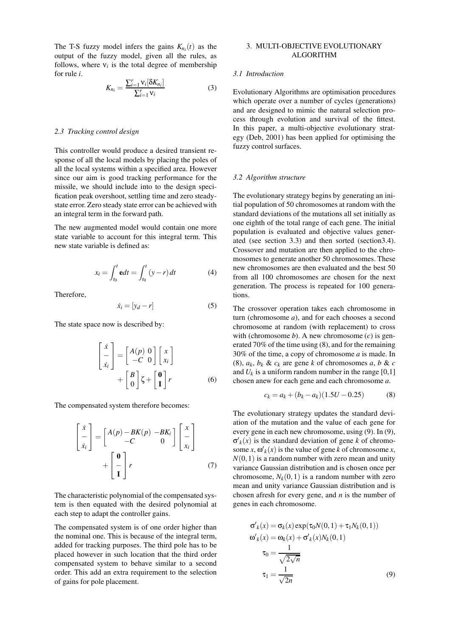The T-S fuzzy model infers the gains  $K_{n_i}(t)$  as the output of the fuzzy model, given all the rules, as follows, where  $v_i$  is the total degree of membership for rule *i*.

$$
K_{n_i} = \frac{\sum_{i=1}^{r} \mathbf{v}_i[\delta K_{n_i}]}{\sum_{i=1}^{r} \mathbf{v}_i} \tag{3}
$$

### *2.3 Tracking control design*

This controller would produce a desired transient response of all the local models by placing the poles of all the local systems within a specified area. However since our aim is good tracking performance for the missile, we should include into to the design specification peak overshoot, settling time and zero steadystate error. Zero steady state error can be achieved with an integral term in the forward path.

The new augmented model would contain one more state variable to account for this integral term. This new state variable is defined as:

$$
x_i = \int_{t_0}^t \mathbf{e} dt = \int_{t_0}^t (y - r) dt \tag{4}
$$

Therefore,

$$
\dot{x}_i = [y_d - r] \tag{5}
$$

The state space now is described by:

$$
\begin{bmatrix} \dot{x} \\ \dot{x}_i \end{bmatrix} = \begin{bmatrix} A(p) & 0 \\ -C & 0 \end{bmatrix} \begin{bmatrix} x \\ x_i \end{bmatrix} + \begin{bmatrix} B \\ 0 \end{bmatrix} \zeta + \begin{bmatrix} 0 \\ 1 \end{bmatrix} r
$$
 (6)

The compensated system therefore becomes:

$$
\begin{bmatrix} \dot{x} \\ \dot{x}_i \end{bmatrix} = \begin{bmatrix} A(p) - BK(p) & -BK_i \\ -C & 0 \end{bmatrix} \begin{bmatrix} x \\ \dot{x}_i \end{bmatrix} + \begin{bmatrix} 0 \\ -\dot{x}_i \end{bmatrix} r
$$
 (7)

The characteristic polynomial of the compensated system is then equated with the desired polynomial at each step to adapt the controller gains.

The compensated system is of one order higher than the nominal one. This is because of the integral term, added for tracking purposes. The third pole has to be placed however in such location that the third order compensated system to behave similar to a second order. This add an extra requirement to the selection of gains for pole placement.

## 3. MULTI-OBJECTIVE EVOLUTIONARY ALGORITHM

## *3.1 Introduction*

Evolutionary Algorithms are optimisation procedures which operate over a number of cycles (generations) and are designed to mimic the natural selection process through evolution and survival of the fittest. In this paper, a multi-objective evolutionary strategy (Deb, 2001) has been applied for optimising the fuzzy control surfaces.

### *3.2 Algorithm structure*

The evolutionary strategy begins by generating an initial population of 50 chromosomes at random with the standard deviations of the mutations all set initially as one eighth of the total range of each gene. The initial population is evaluated and objective values generated (see section 3.3) and then sorted (section3.4). Crossover and mutation are then applied to the chromosomes to generate another 50 chromosomes. These new chromosomes are then evaluated and the best 50 from all 100 chromosomes are chosen for the next generation. The process is repeated for 100 generations.

The crossover operation takes each chromosome in turn (chromosome *a*), and for each chooses a second chromosome at random (with replacement) to cross with (chromosome  $b$ ). A new chromosome  $(c)$  is generated 70% of the time using (8), and for the remaining 30% of the time, a copy of chromosome *a* is made. In (8),  $a_k$ ,  $b_k$  &  $c_k$  are gene *k* of chromosomes *a*, *b* & *c* and  $U_k$  is a uniform random number in the range [0,1] chosen anew for each gene and each chromosome *a*.

$$
c_k = a_k + (b_k - a_k)(1.5U - 0.25)
$$
 (8)

The evolutionary strategy updates the standard deviation of the mutation and the value of each gene for every gene in each new chromosome, using (9). In (9),  $\sigma'_{k}(x)$  is the standard deviation of gene *k* of chromosome *x*,  $\omega'_{k}(x)$  is the value of gene *k* of chromosome *x*,  $N(0,1)$  is a random number with zero mean and unity variance Gaussian distribution and is chosen once per chromosome,  $N_k(0,1)$  is a random number with zero mean and unity variance Gaussian distribution and is chosen afresh for every gene, and *n* is the number of genes in each chromosome.

$$
\sigma'_{k}(x) = \sigma_{k}(x) \exp(\tau_{0}N(0,1) + \tau_{1}N_{k}(0,1))
$$
  
\n
$$
\omega'_{k}(x) = \omega_{k}(x) + \sigma'_{k}(x)N_{k}(0,1)
$$
  
\n
$$
\tau_{0} = \frac{1}{\sqrt{2\sqrt{n}}}
$$
  
\n
$$
\tau_{1} = \frac{1}{\sqrt{2n}}
$$
\n(9)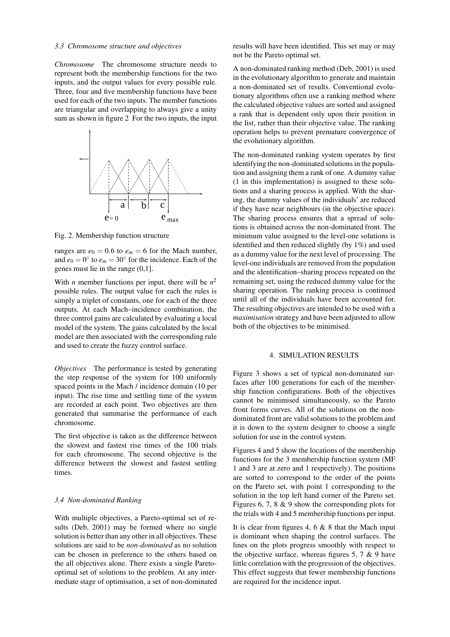### *3.3 Chromosome structure and objectives*

*Chromosome* The chromosome structure needs to represent both the membership functions for the two inputs, and the output values for every possible rule. Three, four and five membership functions have been used for each of the two inputs. The member functions are triangular and overlapping to always give a unity sum as shown in figure 2 For the two inputs, the input



Fig. 2. Membership function structure

ranges are  $e_0 = 0.6$  to  $e_m = 6$  for the Mach number, and  $e_0 = 0^\circ$  to  $e_m = 30^\circ$  for the incidence. Each of the genes must lie in the range (0,1].

With *n* member functions per input, there will be  $n^2$ possible rules. The output value for each the rules is simply a triplet of constants, one for each of the three outputs. At each Mach–incidence combination, the three control gains are calculated by evaluating a local model of the system. The gains calculated by the local model are then associated with the corresponding rule and used to create the fuzzy control surface.

*Objectives* The performance is tested by generating the step response of the system for 100 uniformly spaced points in the Mach / incidence domain (10 per input). The rise time and settling time of the system are recorded at each point. Two objectives are then generated that summarise the performance of each chromosome.

The first objective is taken as the difference between the slowest and fastest rise times of the 100 trials for each chromosome. The second objective is the difference between the slowest and fastest settling times.

### *3.4 Non-dominated Ranking*

With multiple objectives, a Pareto-optimal set of results (Deb, 2001) may be formed where no single solution is better than any other in all objectives. These solutions are said to be *non-dominated* as no solution can be chosen in preference to the others based on the all objectives alone. There exists a single Paretooptimal set of solutions to the problem. At any intermediate stage of optimisation, a set of non-dominated results will have been identified. This set may or may not be the Pareto optimal set.

A non-dominated ranking method (Deb, 2001) is used in the evolutionary algorithm to generate and maintain a non-dominated set of results. Conventional evolutionary algorithms often use a ranking method where the calculated objective values are sorted and assigned a rank that is dependent only upon their position in the list, rather than their objective value. The ranking operation helps to prevent premature convergence of the evolutionary algorithm.

The non-dominated ranking system operates by first identifying the non-dominated solutions in the population and assigning them a rank of one. A dummy value (1 in this implementation) is assigned to these solutions and a sharing process is applied. With the sharing, the dummy values of the individuals' are reduced if they have near neighbours (in the objective space). The sharing process ensures that a spread of solutions is obtained across the non-dominated front. The minimum value assigned to the level-one solutions is identified and then reduced slightly (by 1%) and used as a dummy value for the next level of processing. The level-one individuals are removed from the population and the identification–sharing process repeated on the remaining set, using the reduced dummy value for the sharing operation. The ranking process is continued until all of the individuals have been accounted for. The resulting objectives are intended to be used with a *maximisation* strategy and have been adjusted to allow both of the objectives to be minimised.

## 4. SIMULATION RESULTS

Figure 3 shows a set of typical non-dominated surfaces after 100 generations for each of the membership function configurations. Both of the objectives cannot be minimised simultaneously, so the Pareto front forms curves. All of the solutions on the nondominated front are valid solutions to the problem and it is down to the system designer to choose a single solution for use in the control system.

Figures 4 and 5 show the locations of the membership functions for the 3 membership function system (MF 1 and 3 are at zero and 1 respectively). The positions are sorted to correspond to the order of the points on the Pareto set, with point 1 corresponding to the solution in the top left hand corner of the Pareto set. Figures 6, 7, 8 & 9 show the corresponding plots for the trials with 4 and 5 membership functions per input.

It is clear from figures 4, 6  $\&$  8 that the Mach input is dominant when shaping the control surfaces. The lines on the plots progress smoothly with respect to the objective surface, whereas figures 5, 7  $\&$  9 have little correlation with the progression of the objectives. This effect suggests that fewer membership functions are required for the incidence input.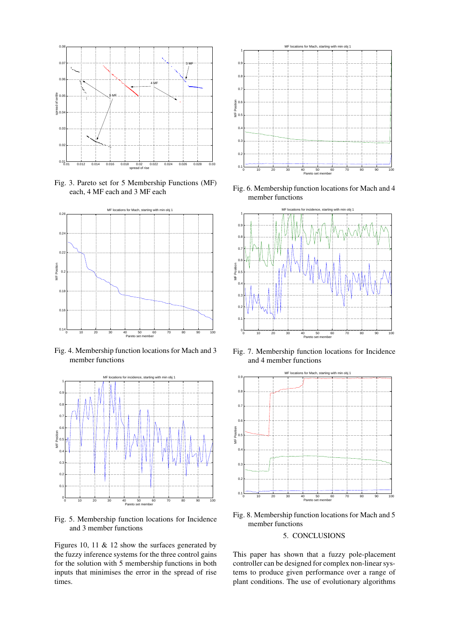

Fig. 3. Pareto set for 5 Membership Functions (MF) each, 4 MF each and 3 MF each



Fig. 4. Membership function locations for Mach and 3 member functions



Fig. 5. Membership function locations for Incidence and 3 member functions

Figures 10, 11 & 12 show the surfaces generated by the fuzzy inference systems for the three control gains for the solution with 5 membership functions in both inputs that minimises the error in the spread of rise times.



Fig. 6. Membership function locations for Mach and 4 member functions



Fig. 7. Membership function locations for Incidence and 4 member functions



Fig. 8. Membership function locations for Mach and 5 member functions

# 5. CONCLUSIONS

This paper has shown that a fuzzy pole-placement controller can be designed for complex non-linear systems to produce given performance over a range of plant conditions. The use of evolutionary algorithms